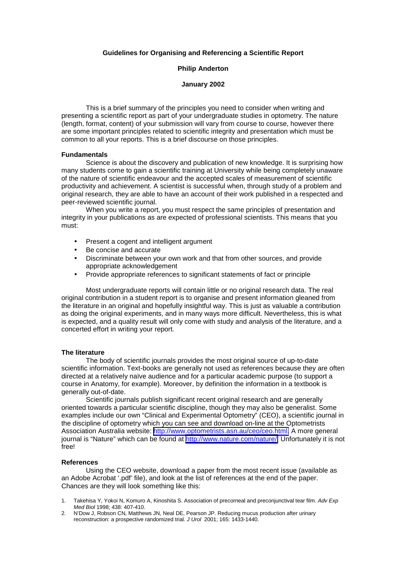## **Guidelines for Organising and Referencing a Scientific Report**

### **Philip Anderton**

#### **January 2002**

This is a brief summary of the principles you need to consider when writing and presenting a scientific report as part of your undergraduate studies in optometry. The nature (length, format, content) of your submission will vary from course to course, however there are some important principles related to scientific integrity and presentation which must be common to all your reports. This is a brief discourse on those principles.

### **Fundamentals**

Science is about the discovery and publication of new knowledge. It is surprising how many students come to gain a scientific training at University while being completely unaware of the nature of scientific endeavour and the accepted scales of measurement of scientific productivity and achievement. A scientist is successful when, through study of a problem and original research, they are able to have an account of their work published in a respected and peer-reviewed scientific journal.

When you write a report, you must respect the same principles of presentation and integrity in your publications as are expected of professional scientists. This means that you must:

- Present a cogent and intelligent argument
- Be concise and accurate
- Discriminate between your own work and that from other sources, and provide appropriate acknowledgement
- Provide appropriate references to significant statements of fact or principle

Most undergraduate reports will contain little or no original research data. The real original contribution in a student report is to organise and present information gleaned from the literature in an original and hopefully insightful way. This is just as valuable a contribution as doing the original experiments, and in many ways more difficult. Nevertheless, this is what is expected, and a quality result will only come with study and analysis of the literature, and a concerted effort in writing your report.

#### **The literature**

The body of scientific journals provides the most original source of up-to-date scientific information. Text-books are generally not used as references because they are often directed at a relatively naïve audience and for a particular academic purpose (to support a course in Anatomy, for example). Moreover, by definition the information in a textbook is generally out-of-date.

Scientific journals publish significant recent original research and are generally oriented towards a particular scientific discipline, though they may also be generalist. Some examples include our own "Clinical and Experimental Optometry" (CEO), a scientific journal in the discipline of optometry which you can see and download on-line at the Optometrists Association Australia website: [http://www.optometrists.asn.au/ceo/ceo.html.](http://www.optometrists.asn.au/ceo/ceo.html) A more general journal is "Nature" which can be found at [http://www.nature.com/nature/.](http://www.nature.com/nature/) Unfortunately it is not free!

#### **References**

Using the CEO website, download a paper from the most recent issue (available as an Adobe Acrobat '.pdf' file), and look at the list of references at the end of the paper. Chances are they will look something like this:

- 1. Takehisa Y, Yokoi N, Komuro A, Kinoshita S. Association of precorneal and preconjunctival tear film. Adv Exp Med Biol 1998; 438: 407-410.
- 2. N'Dow J, Robson CN, Matthews JN, Neal DE, Pearson JP. Reducing mucus production after urinary reconstruction: a prospective randomized trial. J Urol 2001; 165: 1433-1440.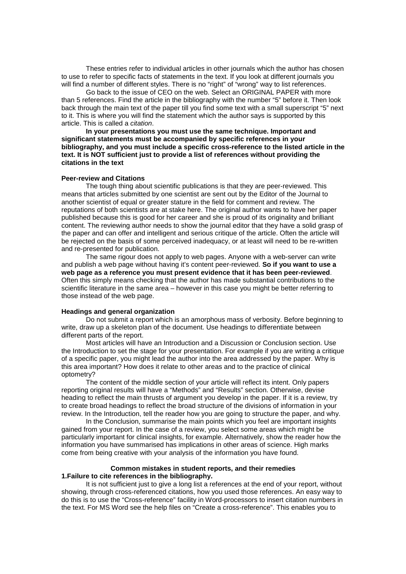These entries refer to individual articles in other journals which the author has chosen to use to refer to specific facts of statements in the text. If you look at different journals you will find a number of different styles. There is no "right" of "wrong" way to list references.

Go back to the issue of CEO on the web. Select an ORIGINAL PAPER with more than 5 references. Find the article in the bibliography with the number "5" before it. Then look back through the main text of the paper till you find some text with a small superscript "5" next to it. This is where you will find the statement which the author says is supported by this article. This is called a citation.

**In your presentations you must use the same technique. Important and significant statements must be accompanied by specific references in your bibliography, and you must include a specific cross-reference to the listed article in the text. It is NOT sufficient just to provide a list of references without providing the citations in the text**

#### **Peer-review and Citations**

The tough thing about scientific publications is that they are peer-reviewed. This means that articles submitted by one scientist are sent out by the Editor of the Journal to another scientist of equal or greater stature in the field for comment and review. The reputations of both scientists are at stake here. The original author wants to have her paper published because this is good for her career and she is proud of its originality and brilliant content. The reviewing author needs to show the journal editor that they have a solid grasp of the paper and can offer and intelligent and serious critique of the article. Often the article will be rejected on the basis of some perceived inadequacy, or at least will need to be re-written and re-presented for publication.

The same rigour does not apply to web pages. Anyone with a web-server can write and publish a web page without having it's content peer-reviewed. **So if you want to use a web page as a reference you must present evidence that it has been peer-reviewed**. Often this simply means checking that the author has made substantial contributions to the scientific literature in the same area – however in this case you might be better referring to those instead of the web page.

### **Headings and general organization**

Do not submit a report which is an amorphous mass of verbosity. Before beginning to write, draw up a skeleton plan of the document. Use headings to differentiate between different parts of the report.

Most articles will have an Introduction and a Discussion or Conclusion section. Use the Introduction to set the stage for your presentation. For example if you are writing a critique of a specific paper, you might lead the author into the area addressed by the paper. Why is this area important? How does it relate to other areas and to the practice of clinical optometry?

The content of the middle section of your article will reflect its intent. Only papers reporting original results will have a "Methods" and "Results" section. Otherwise, devise heading to reflect the main thrusts of argument you develop in the paper. If it is a review, try to create broad headings to reflect the broad structure of the divisions of information in your review. In the Introduction, tell the reader how you are going to structure the paper, and why.

In the Conclusion, summarise the main points which you feel are important insights gained from your report. In the case of a review, you select some areas which might be particularly important for clinical insights, for example. Alternatively, show the reader how the information you have summarised has implications in other areas of science. High marks come from being creative with your analysis of the information you have found.

### **Common mistakes in student reports, and their remedies 1.Failure to cite references in the bibliography.**

It is not sufficient just to give a long list a references at the end of your report, without showing, through cross-referenced citations, how you used those references. An easy way to do this is to use the "Cross-reference" facility in Word-processors to insert citation numbers in the text. For MS Word see the help files on "Create a cross-reference". This enables you to